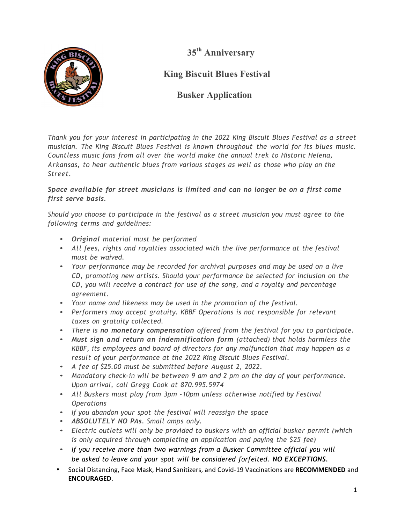**35th Anniversary**



**King Biscuit Blues Festival**

## **Busker Application**

*Thank you for your interest in participating in the 2022 King Biscuit Blues Festival as a street musician. The King Biscuit Blues Festival is known throughout the world for its blues music. Countless music fans from all over the world make the annual trek to Historic Helena, Arkansas, to hear authentic blues from various stages as well as those who play on the Street.*

*Space available for street musicians is limited and can no longer be on a first come first serve basis.*

*Should you choose to participate in the festival as a street musician you must agree to the following terms and guidelines:*

- *Original material must be performed*
- *All fees, rights and royalties associated with the live performance at the festival must be waived.*
- *Your performance may be recorded for archival purposes and may be used on a live CD, promoting new artists. Should your performance be selected for inclusion on the CD, you will receive a contract for use of the song, and a royalty and percentage agreement.*
- *Your name and likeness may be used in the promotion of the festival.*
- *Performers may accept gratuity. KBBF Operations is not responsible for relevant taxes on gratuity collected.*
- *There is no monetary compensation offered from the festival for you to participate.*
- *Must sign and return an indemnification form (attached) that holds harmless the KBBF, its employees and board of directors for any malfunction that may happen as a result of your performance at the 2022 King Biscuit Blues Festival.*
- *A fee of \$25.00 must be submitted before August 2, 2022.*
- *Mandatory check-in will be between 9 am and 2 pm on the day of your performance. Upon arrival, call Gregg Cook at 870.995.5974*
- *All Buskers must play from 3pm -10pm unless otherwise notified by Festival Operations*
- *If you abandon your spot the festival will reassign the space*
- *ABSOLUTELY NO PAs. Small amps only.*
- *Electric outlets will only be provided to buskers with an official busker permit (which is only acquired through completing an application and paying the \$25 fee)*
- *If you receive more than two warnings from a Busker Committee official you will be asked to leave and your spot will be considered forfeited. NO EXCEPTIONS.*
- Social Distancing, Face Mask, Hand Sanitizers, and Covid-19 Vaccinations are RECOMMENDED and **ENCOURAGED**.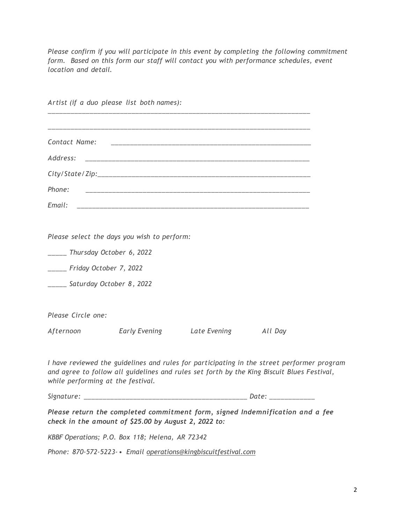*Please confirm if you will participate in this event by completing the following commitment form. Based on this form our staff will contact you with performance schedules, event location and detail.*

|                              | Artist (if a duo please list both names):                       |  |                                                                                                                                                                                          |  |
|------------------------------|-----------------------------------------------------------------|--|------------------------------------------------------------------------------------------------------------------------------------------------------------------------------------------|--|
|                              |                                                                 |  |                                                                                                                                                                                          |  |
| Contact Name:                |                                                                 |  |                                                                                                                                                                                          |  |
| Address:                     |                                                                 |  |                                                                                                                                                                                          |  |
|                              |                                                                 |  |                                                                                                                                                                                          |  |
| Phone:                       |                                                                 |  |                                                                                                                                                                                          |  |
| Email:                       |                                                                 |  |                                                                                                                                                                                          |  |
|                              | Please select the days you wish to perform:                     |  |                                                                                                                                                                                          |  |
|                              | ______ Thursday October 6, 2022                                 |  |                                                                                                                                                                                          |  |
| _____ Friday October 7, 2022 |                                                                 |  |                                                                                                                                                                                          |  |
|                              | _____ Saturday October 8, 2022                                  |  |                                                                                                                                                                                          |  |
| Please Circle one:           |                                                                 |  |                                                                                                                                                                                          |  |
|                              | Afternoon <b>Early Evening Late Evening</b>                     |  | All Day                                                                                                                                                                                  |  |
|                              | while performing at the festival.                               |  | I have reviewed the guidelines and rules for participating in the street performer program<br>and agree to follow all guidelines and rules set forth by the King Biscuit Blues Festival, |  |
|                              |                                                                 |  |                                                                                                                                                                                          |  |
|                              | check in the amount of \$25.00 by August 2, 2022 to:            |  | Please return the completed commitment form, signed Indemnification and a fee                                                                                                            |  |
|                              | KBBF Operations; P.O. Box 118; Helena, AR 72342                 |  |                                                                                                                                                                                          |  |
|                              | Phone: 870-572-5223- · Email operations@kingbiscuitfestival.com |  |                                                                                                                                                                                          |  |